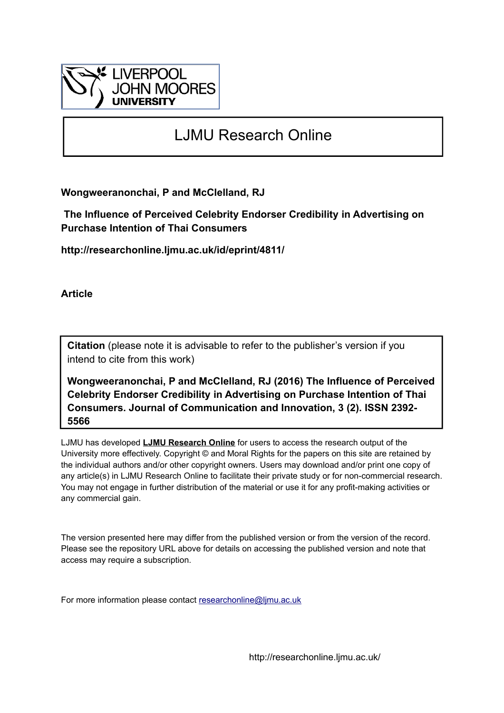

# LJMU Research Online

**Wongweeranonchai, P and McClelland, RJ**

 **The Influence of Perceived Celebrity Endorser Credibility in Advertising on Purchase Intention of Thai Consumers**

**http://researchonline.ljmu.ac.uk/id/eprint/4811/**

**Article**

**Citation** (please note it is advisable to refer to the publisher's version if you intend to cite from this work)

**Wongweeranonchai, P and McClelland, RJ (2016) The Influence of Perceived Celebrity Endorser Credibility in Advertising on Purchase Intention of Thai Consumers. Journal of Communication and Innovation, 3 (2). ISSN 2392- 5566** 

LJMU has developed **[LJMU Research Online](http://researchonline.ljmu.ac.uk/)** for users to access the research output of the University more effectively. Copyright © and Moral Rights for the papers on this site are retained by the individual authors and/or other copyright owners. Users may download and/or print one copy of any article(s) in LJMU Research Online to facilitate their private study or for non-commercial research. You may not engage in further distribution of the material or use it for any profit-making activities or any commercial gain.

The version presented here may differ from the published version or from the version of the record. Please see the repository URL above for details on accessing the published version and note that access may require a subscription.

For more information please contact [researchonline@ljmu.ac.uk](mailto:researchonline@ljmu.ac.uk)

http://researchonline.ljmu.ac.uk/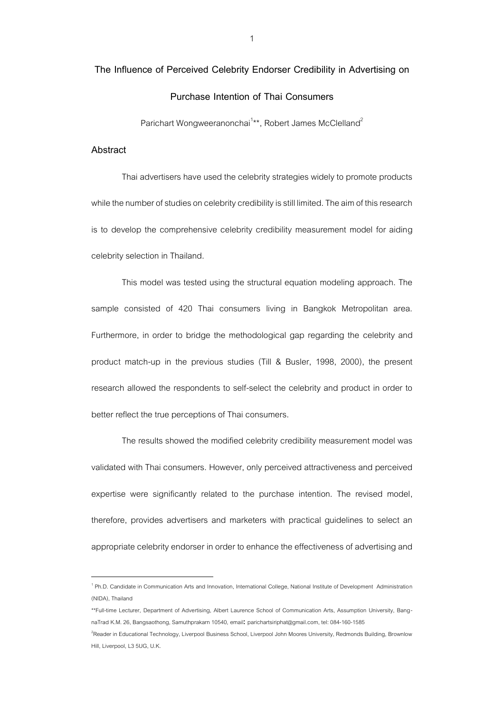# **The Influence of Perceived Celebrity Endorser Credibility in Advertising on Purchase Intention of Thai Consumers**

Parichart Wongweeranonchai<sup>1</sup>\*\*, Robert James McClelland<sup>2</sup>

### **Abstract**

<u>.</u>

Thai advertisers have used the celebrity strategies widely to promote products while the number of studies on celebrity credibility is still limited. The aim of this research is to develop the comprehensive celebrity credibility measurement model for aiding celebrity selection in Thailand.

This model was tested using the structural equation modeling approach. The sample consisted of 420 Thai consumers living in Bangkok Metropolitan area. Furthermore, in order to bridge the methodological gap regarding the celebrity and product match-up in the previous studies (Till & Busler, 1998, 2000), the present research allowed the respondents to self-select the celebrity and product in order to better reflect the true perceptions of Thai consumers.

The results showed the modified celebrity credibility measurement model was validated with Thai consumers. However, only perceived attractiveness and perceived expertise were significantly related to the purchase intention. The revised model, therefore, provides advertisers and marketers with practical guidelines to select an appropriate celebrity endorser in order to enhance the effectiveness of advertising and

<sup>&</sup>lt;sup>1</sup> Ph.D. Candidate in Communication Arts and Innovation, International College, National Institute of Development Administration (NIDA), Thailand

<sup>\*\*</sup>Full-time Lecturer, Department of Advertising, Albert Laurence School of Communication Arts, Assumption University, BangnaTrad K.M. 26, Bangsaothong, Samuthprakarn 10540, email: [parichartsiriphat@gmail.com,](mailto:parichartsiriphat@gmail.com) tel: 084-160-1585

<sup>&</sup>lt;sup>2</sup>Reader in Educational Technology, Liverpool Business School, Liverpool John Moores University, Redmonds Building, Brownlow Hill, Liverpool, L3 5UG, U.K.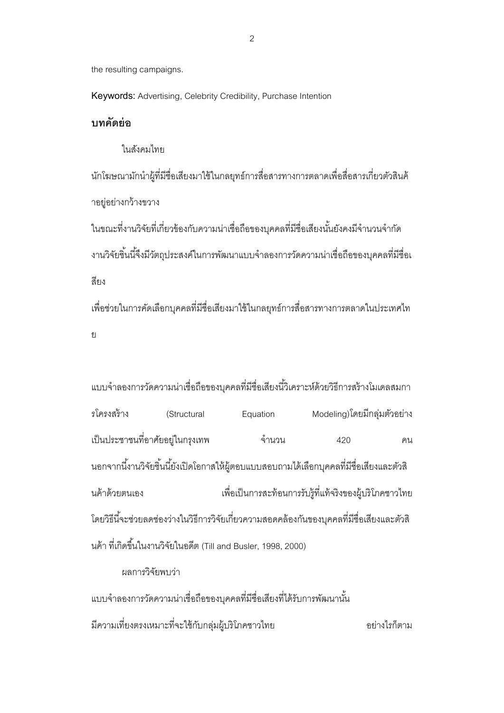the resulting campaigns.

**Keywords:** Advertising, Celebrity Credibility, Purchase Intention

## **บทคัดย่อ**

ในสังคมไทย

้นักโฆษณามักนำผู้ที่มีชื่อเสียงมาใช้ในกลยุทธ์การสื่อสารทางการตลาดเพื่อสื่อสารเกี่ยวตัวสินค้ าอยู่อย่างกว้างขวาง

่ ในขณะที่งานวิจัยที่เกี่ยวข้องกับความน่าเชื่อถือของบุคคลที่มีชื่อเสียงนั้นยังคงมีจำนวนจำกัด งานวิจัยชิ้นนี้จึงมีวัตถุประสงค์ในการพัฒนาแบบจำลองการวัดความน่าเชื่อถือของบุคคลที่มีชื่อเ สี่ยง

เพื่อช่วยในการคัดเลือกบุคคลที่มีชื่อเสียงมาใช้ในกลยุทธ์การสื่อสารทางการตลาดในประเทศไท ย

แบบจำลองการวัดความน่าเชื่อถือของบคคลที่มีชื่อเสียงนี้วิเคราะห์ด้วยวิธีการสร้างโมเดลสมกา รโครงสร้าง (Structural Equation Modeling)โดยมีกลุ่มตัวอย่าง เป็นประชาชนที่อาศัยอยู่ในกรุงเทพ จำนวน 420 คน ้นอกจากนี้งานวิจัยชิ้นนี้ยังเปิดโอกาสให้ผู้ตอบแบบสอบถามได้เลือกบุคคลที่มีชื่อเสียงและตัวสิ นค้าด้วยตนเอง เพื่อเป็นการสะท้อนการรับรู้ที่แท้จริงของผู้บริโภคชาวไทย โดยวิธีนี ้จะช่วยลดช่องว่างในวิธีการวิจัยเกี่ยวความสอดคล้องกันของบุคคลที่มีชื่อเสียงและตัวสิ นค้า ที่เกิดขึ้นในงานวิจัยในอดีต (Till and Busler, 1998, 2000)

## ผลการวิจัยพบว่า

แบบจำลองการวัดความน่าเชื่อถือของบคคลที่มีชื่อเสียงที่ได้รับการพัฒนานั้น มีความเที่ยงตรงเหมาะที่จะใช้กับกลุ่มผู้บริโภคชาวไทย อย่างไรก็ตาม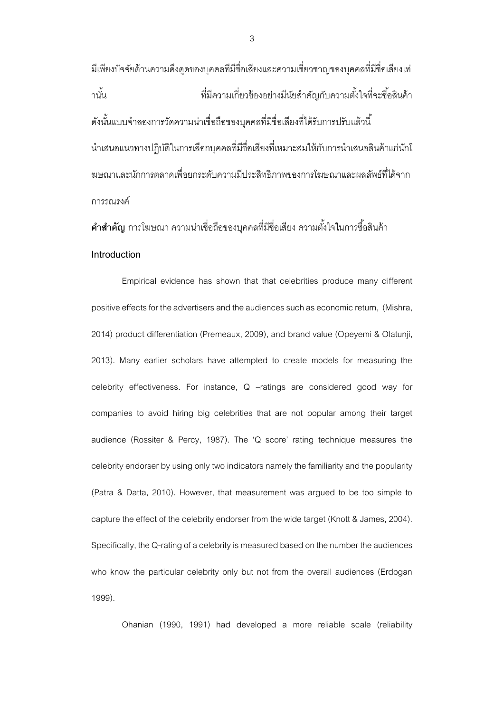้มีเพียงปัจจัยด้านความดึงดดของบคคลที่มีชื่อเสียงและความเชี่ยวชาญของบคคลที่มีชื่อเสียงเท่ านั ้น ที่มีความเกี่ยวข้องอย่างมีนัยส าคัญกับความตั ้งใจที่จะซื ้อสินค้า ดังนั้นแบบจำลองการวัดความน่าเชื่อถือของบคคลที่มีชื่อเสียงที่ได้รับการปรับแล้วนี้ ้นำเสนอแนวทางปฦิบัติในการเลือกบุคคลที่มีชื่อเสียงที่เหมาะสมให้กับการนำเสนอสินค้าแก่นักโ ฆษณาและนักการตลาดเพื่อยกระดับความมีประสิทธิภาพของการโฆษณาและผลลัพธ์ที่ได้จาก การรณรงค์

**คำสำคัญ** การโฆษณา ความน่าเชื่อถือของบุคคลที่มีชื่อเสียง ความตั้งใจในการซื้อสินค้า **Introduction**

Empirical evidence has shown that that celebrities produce many different positive effects for the advertisers and the audiences such as economic return, (Mishra, 2014) product differentiation (Premeaux, 2009), and brand value (Opeyemi & Olatunji, 2013). Many earlier scholars have attempted to create models for measuring the celebrity effectiveness. For instance, Q –ratings are considered good way for companies to avoid hiring big celebrities that are not popular among their target audience (Rossiter & Percy, 1987). The 'Q score' rating technique measures the celebrity endorser by using only two indicators namely the familiarity and the popularity (Patra & Datta, 2010). However, that measurement was argued to be too simple to capture the effect of the celebrity endorser from the wide target (Knott & James, 2004). Specifically, the Q-rating of a celebrity is measured based on the number the audiences who know the particular celebrity only but not from the overall audiences (Erdogan 1999).

Ohanian (1990, 1991) had developed a more reliable scale (reliability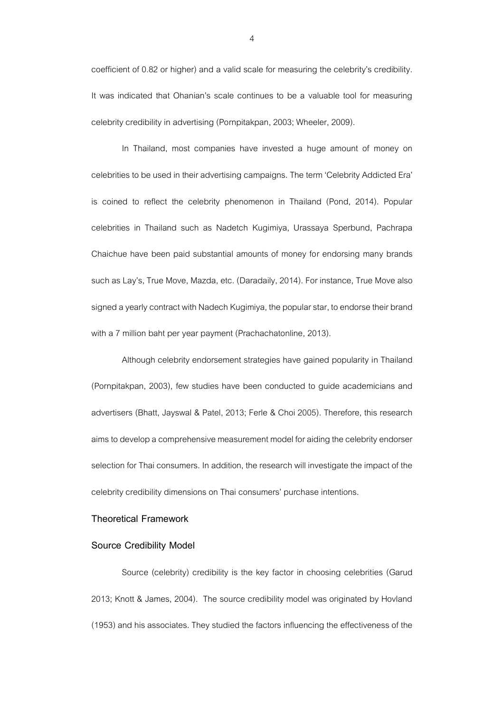coefficient of 0.82 or higher) and a valid scale for measuring the celebrity's credibility. It was indicated that Ohanian's scale continues to be a valuable tool for measuring celebrity credibility in advertising (Pornpitakpan, 2003; Wheeler, 2009).

In Thailand, most companies have invested a huge amount of money on celebrities to be used in their advertising campaigns. The term 'Celebrity Addicted Era' is coined to reflect the celebrity phenomenon in Thailand (Pond, 2014). Popular celebrities in Thailand such as Nadetch Kugimiya, Urassaya Sperbund, Pachrapa Chaichue have been paid substantial amounts of money for endorsing many brands such as Lay's, True Move, Mazda, etc. (Daradaily, 2014). For instance, True Move also signed a yearly contract with Nadech Kugimiya, the popular star, to endorse their brand with a 7 million baht per year payment (Prachachatonline, 2013).

Although celebrity endorsement strategies have gained popularity in Thailand (Pornpitakpan, 2003), few studies have been conducted to guide academicians and advertisers (Bhatt, Jayswal & Patel, 2013; Ferle & Choi 2005). Therefore, this research aims to develop a comprehensive measurement model for aiding the celebrity endorser selection for Thai consumers. In addition, the research will investigate the impact of the celebrity credibility dimensions on Thai consumers' purchase intentions.

### **Theoretical Framework**

#### **Source Credibility Model**

Source (celebrity) credibility is the key factor in choosing celebrities (Garud 2013; Knott & James, 2004). The source credibility model was originated by Hovland (1953) and his associates. They studied the factors influencing the effectiveness of the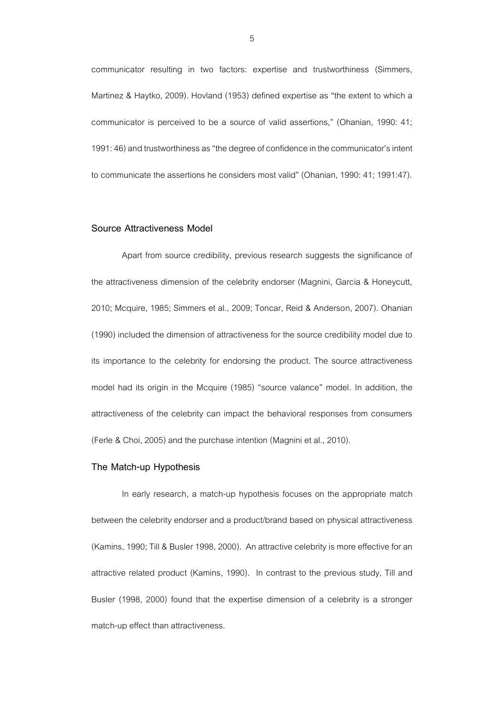communicator resulting in two factors: expertise and trustworthiness (Simmers, Martinez & Haytko, 2009). Hovland (1953) defined expertise as "the extent to which a communicator is perceived to be a source of valid assertions," (Ohanian, 1990: 41; 1991: 46) and trustworthiness as "the degree of confidence in the communicator's intent to communicate the assertions he considers most valid" (Ohanian, 1990: 41; 1991:47).

## **Source Attractiveness Model**

Apart from source credibility, previous research suggests the significance of the attractiveness dimension of the celebrity endorser (Magnini, Garcia & Honeycutt, 2010; Mcquire, 1985; Simmers et al., 2009; Toncar, Reid & Anderson, 2007). Ohanian (1990) included the dimension of attractiveness for the source credibility model due to its importance to the celebrity for endorsing the product. The source attractiveness model had its origin in the Mcquire (1985) "source valance" model. In addition, the attractiveness of the celebrity can impact the behavioral responses from consumers (Ferle & Choi, 2005) and the purchase intention (Magnini et al., 2010).

## **The Match-up Hypothesis**

In early research, a match-up hypothesis focuses on the appropriate match between the celebrity endorser and a product/brand based on physical attractiveness (Kamins,1990; Till & Busler 1998, 2000). An attractive celebrity is more effective for an attractive related product (Kamins, 1990). In contrast to the previous study, Till and Busler (1998, 2000) found that the expertise dimension of a celebrity is a stronger match-up effect than attractiveness.

5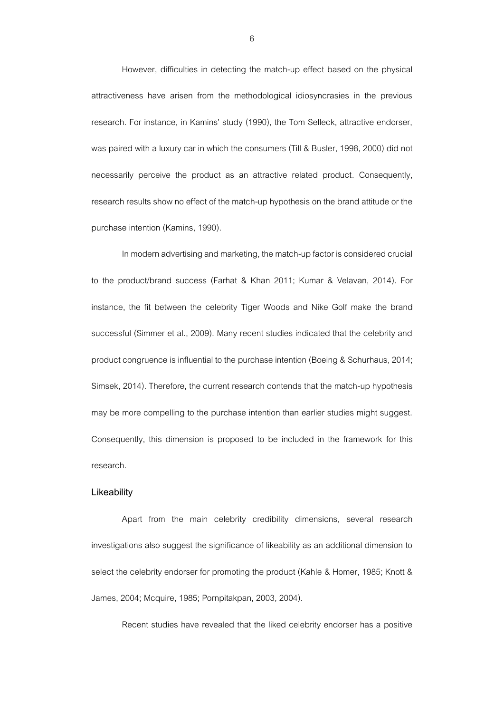However, difficulties in detecting the match-up effect based on the physical attractiveness have arisen from the methodological idiosyncrasies in the previous research. For instance, in Kamins' study (1990), the Tom Selleck, attractive endorser, was paired with a luxury car in which the consumers (Till & Busler, 1998, 2000) did not necessarily perceive the product as an attractive related product. Consequently, research results show no effect of the match-up hypothesis on the brand attitude or the purchase intention (Kamins, 1990).

In modern advertising and marketing, the match-up factor is considered crucial to the product/brand success (Farhat & Khan 2011; Kumar & Velavan, 2014). For instance, the fit between the celebrity Tiger Woods and Nike Golf make the brand successful (Simmer et al., 2009). Many recent studies indicated that the celebrity and product congruence is influential to the purchase intention (Boeing & Schurhaus, 2014; Simsek, 2014). Therefore, the current research contends that the match-up hypothesis may be more compelling to the purchase intention than earlier studies might suggest. Consequently, this dimension is proposed to be included in the framework for this research.

#### **Likeability**

Apart from the main celebrity credibility dimensions, several research investigations also suggest the significance of likeability as an additional dimension to select the celebrity endorser for promoting the product (Kahle & Homer, 1985; Knott & James, 2004; Mcquire, 1985; Pornpitakpan, 2003, 2004).

Recent studies have revealed that the liked celebrity endorser has a positive

6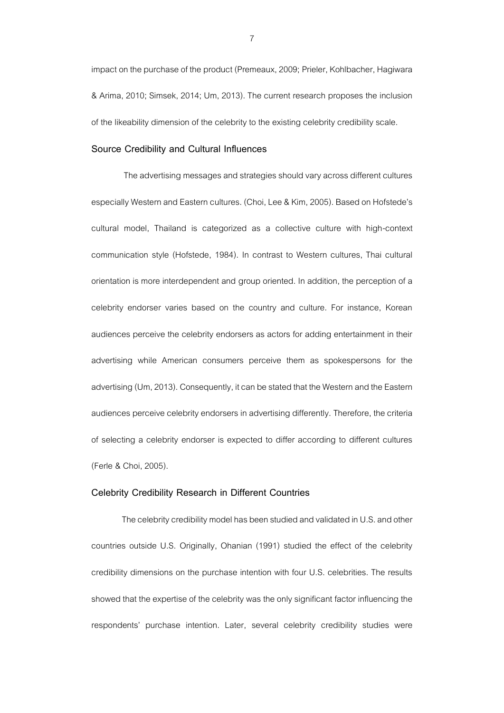impact on the purchase of the product (Premeaux, 2009; Prieler, Kohlbacher, Hagiwara & Arima, 2010; Simsek, 2014; Um, 2013). The current research proposes the inclusion of the likeability dimension of the celebrity to the existing celebrity credibility scale.

#### **Source Credibility and Cultural Influences**

 The advertising messages and strategies should vary across different cultures especially Western and Eastern cultures. (Choi, Lee & Kim, 2005). Based on Hofstede's cultural model, Thailand is categorized as a collective culture with high-context communication style (Hofstede, 1984). In contrast to Western cultures, Thai cultural orientation is more interdependent and group oriented. In addition, the perception of a celebrity endorser varies based on the country and culture. For instance, Korean audiences perceive the celebrity endorsers as actors for adding entertainment in their advertising while American consumers perceive them as spokespersons for the advertising (Um, 2013). Consequently, it can be stated that the Western and the Eastern audiences perceive celebrity endorsers in advertising differently. Therefore, the criteria of selecting a celebrity endorser is expected to differ according to different cultures (Ferle & Choi, 2005).

#### **Celebrity Credibility Research in Different Countries**

The celebrity credibility model has been studied and validated in U.S. and other countries outside U.S. Originally, Ohanian (1991) studied the effect of the celebrity credibility dimensions on the purchase intention with four U.S. celebrities. The results showed that the expertise of the celebrity was the only significant factor influencing the respondents' purchase intention. Later, several celebrity credibility studies were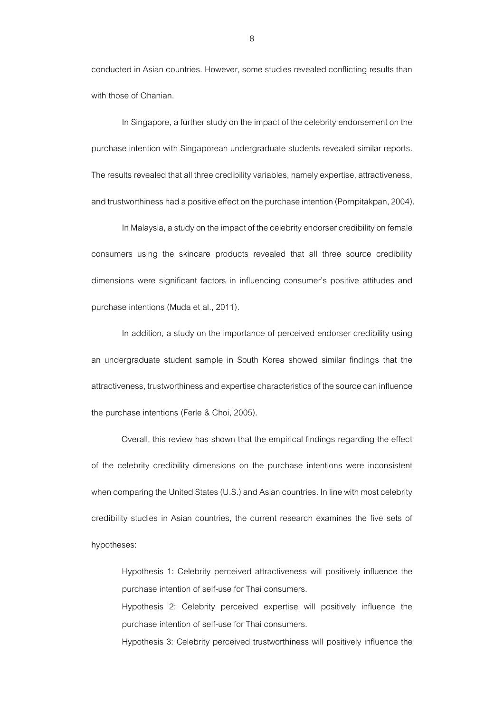conducted in Asian countries. However, some studies revealed conflicting results than with those of Ohanian.

In Singapore, a further study on the impact of the celebrity endorsement on the purchase intention with Singaporean undergraduate students revealed similar reports. The results revealed that all three credibility variables, namely expertise, attractiveness, and trustworthiness had a positive effect on the purchase intention (Pornpitakpan, 2004).

In Malaysia, a study on the impact of the celebrity endorser credibility on female consumers using the skincare products revealed that all three source credibility dimensions were significant factors in influencing consumer's positive attitudes and purchase intentions (Muda et al., 2011).

In addition, a study on the importance of perceived endorser credibility using an undergraduate student sample in South Korea showed similar findings that the attractiveness, trustworthiness and expertise characteristics of the source can influence the purchase intentions (Ferle & Choi, 2005).

Overall, this review has shown that the empirical findings regarding the effect of the celebrity credibility dimensions on the purchase intentions were inconsistent when comparing the United States (U.S.) and Asian countries. In line with most celebrity credibility studies in Asian countries, the current research examines the five sets of hypotheses:

Hypothesis 1: Celebrity perceived attractiveness will positively influence the purchase intention of self-use for Thai consumers.

Hypothesis 2: Celebrity perceived expertise will positively influence the purchase intention of self-use for Thai consumers.

Hypothesis 3: Celebrity perceived trustworthiness will positively influence the

8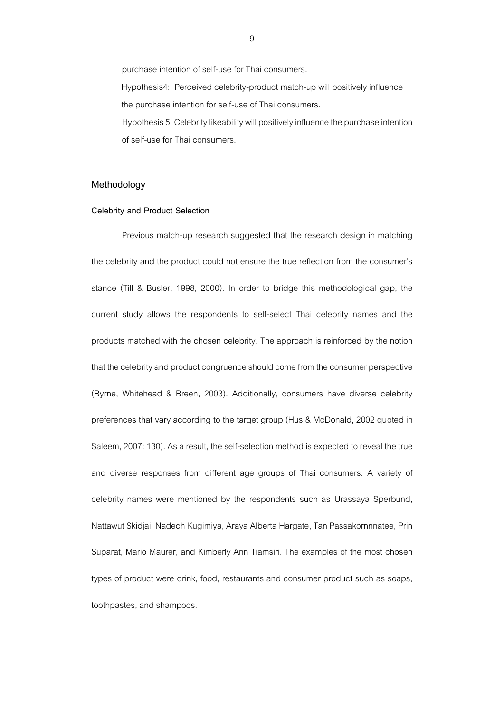purchase intention of self-use for Thai consumers. Hypothesis4: Perceived celebrity-product match-up will positively influence the purchase intention for self-use of Thai consumers. Hypothesis 5: Celebrity likeability will positively influence the purchase intention of self-use for Thai consumers.

#### **Methodology**

#### **Celebrity and Product Selection**

Previous match-up research suggested that the research design in matching the celebrity and the product could not ensure the true reflection from the consumer's stance (Till & Busler, 1998, 2000). In order to bridge this methodological gap, the current study allows the respondents to self-select Thai celebrity names and the products matched with the chosen celebrity. The approach is reinforced by the notion that the celebrity and product congruence should come from the consumer perspective (Byrne, Whitehead & Breen, 2003). Additionally, consumers have diverse celebrity preferences that vary according to the target group (Hus & McDonald, 2002 quoted in Saleem, 2007: 130). As a result, the self-selection method is expected to reveal the true and diverse responses from different age groups of Thai consumers. A variety of celebrity names were mentioned by the respondents such as Urassaya Sperbund, Nattawut Skidjai, Nadech Kugimiya, Araya Alberta Hargate, Tan Passakornnnatee, Prin Suparat, Mario Maurer, and Kimberly Ann Tiamsiri. The examples of the most chosen types of product were drink, food, restaurants and consumer product such as soaps, toothpastes, and shampoos.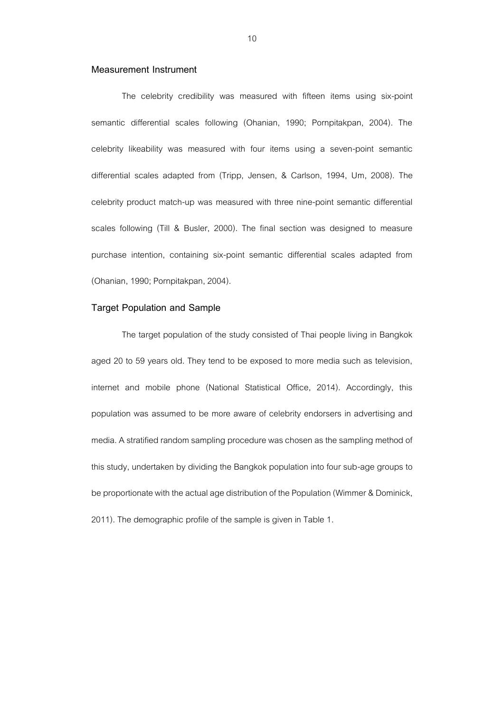## **Measurement Instrument**

The celebrity credibility was measured with fifteen items using six-point semantic differential scales following (Ohanian, 1990; Pornpitakpan, 2004). The celebrity likeability was measured with four items using a seven-point semantic differential scales adapted from (Tripp, Jensen, & Carlson, 1994, Um, 2008). The celebrity product match-up was measured with three nine-point semantic differential scales following (Till & Busler, 2000). The final section was designed to measure purchase intention, containing six-point semantic differential scales adapted from (Ohanian, 1990; Pornpitakpan, 2004).

## **Target Population and Sample**

The target population of the study consisted of Thai people living in Bangkok aged 20 to 59 years old. They tend to be exposed to more media such as television, internet and mobile phone (National Statistical Office, 2014). Accordingly, this population was assumed to be more aware of celebrity endorsers in advertising and media. A stratified random sampling procedure was chosen as the sampling method of this study, undertaken by dividing the Bangkok population into four sub-age groups to be proportionate with the actual age distribution of the Population (Wimmer & Dominick, 2011). The demographic profile of the sample is given in Table 1.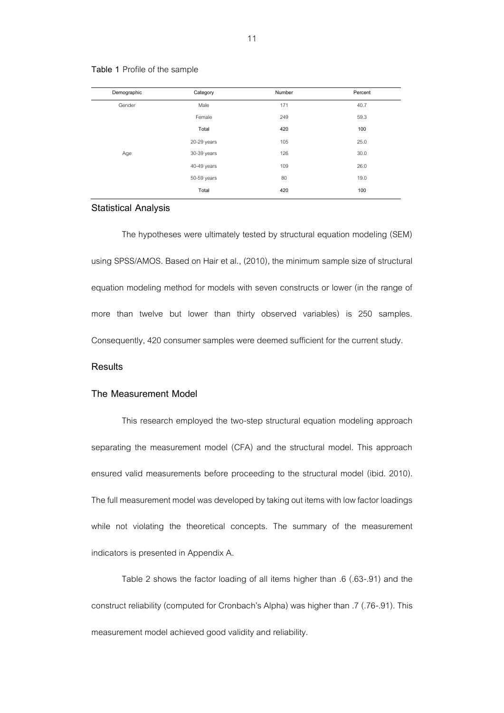| Demographic | Category    | Number | Percent |
|-------------|-------------|--------|---------|
| Gender      | Male        | 171    | 40.7    |
|             | Female      | 249    | 59.3    |
|             | Total       | 420    | 100     |
|             | 20-29 years | 105    | 25.0    |
| Age         | 30-39 years | 126    | 30.0    |
|             | 40-49 years | 109    | 26.0    |
|             | 50-59 years | 80     | 19.0    |
|             | Total       | 420    | 100     |

### **Table 1** Profile of the sample

### **Statistical Analysis**

The hypotheses were ultimately tested by structural equation modeling (SEM) using SPSS/AMOS. Based on Hair et al., (2010), the minimum sample size of structural equation modeling method for models with seven constructs or lower (in the range of more than twelve but lower than thirty observed variables) is 250 samples. Consequently, 420 consumer samples were deemed sufficient for the current study.

## **Results**

#### **The Measurement Model**

This research employed the two-step structural equation modeling approach separating the measurement model (CFA) and the structural model. This approach ensured valid measurements before proceeding to the structural model (ibid. 2010). The full measurement model was developed by taking out items with low factor loadings while not violating the theoretical concepts. The summary of the measurement indicators is presented in Appendix A.

Table 2 shows the factor loading of all items higher than .6 (.63-.91) and the construct reliability (computed for Cronbach's Alpha) was higher than .7 (.76-.91). This measurement model achieved good validity and reliability.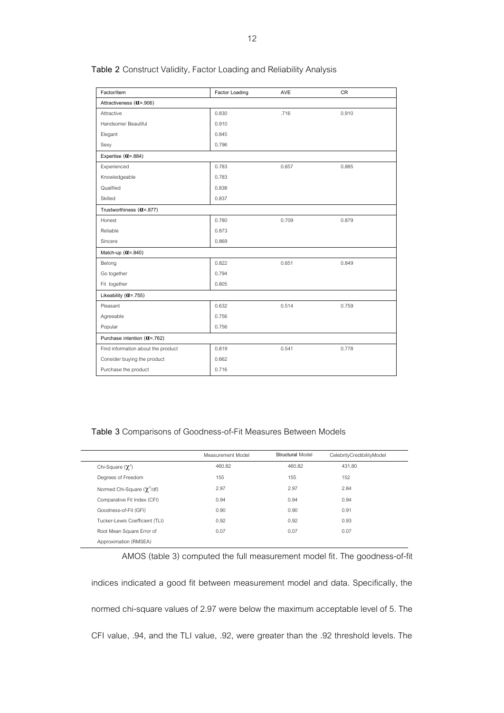| Factor/item                        | Factor Loading | AVE   | <b>CR</b> |  |
|------------------------------------|----------------|-------|-----------|--|
| Attractiveness (0 = . 906)         |                |       |           |  |
| Attractive                         | 0.830          | .716  | 0.910     |  |
| Handsome/ Beautiful                | 0.910          |       |           |  |
| Elegant                            | 0.845          |       |           |  |
| Sexy                               | 0.796          |       |           |  |
| Expertise (0 = . 884)              |                |       |           |  |
| Experienced                        | 0.783          | 0.657 | 0.885     |  |
| Knowledgeable                      | 0.783          |       |           |  |
| Qualified                          | 0.838          |       |           |  |
| Skilled                            | 0.837          |       |           |  |
| Trustworthiness (Q=.877)           |                |       |           |  |
| Honest                             | 0.780          | 0.709 | 0.879     |  |
| Reliable                           | 0.873          |       |           |  |
| Sincere                            | 0.869          |       |           |  |
| Match-up $(\alpha = .840)$         |                |       |           |  |
| Belong                             | 0.822          | 0.651 | 0.849     |  |
| Go together                        | 0.794          |       |           |  |
| Fit together                       | 0.805          |       |           |  |
| Likeability $(Q=.755)$             |                |       |           |  |
| Pleasant                           | 0.632          | 0.514 | 0.759     |  |
| Agreeable                          | 0.756          |       |           |  |
| Popular                            | 0.756          |       |           |  |
| Purchase intention (0=.762)        |                |       |           |  |
| Find information about the product | 0.819          | 0.541 | 0.778     |  |
| Consider buying the product        | 0.662          |       |           |  |
| Purchase the product               | 0.716          |       |           |  |

## **Table 2** Construct Validity, Factor Loading and Reliability Analysis

## **Table 3** Comparisons of Goodness-of-Fit Measures Between Models

|                                 | Measurement Model | Structural Model | CelebrityCredibilityModel |
|---------------------------------|-------------------|------------------|---------------------------|
| Chi-Square $(\chi^2)$           | 460.82            | 460.82           | 431.80                    |
| Degrees of Freedom              | 155               | 155              | 152                       |
| Normed Chi-Square $(\chi^2/df)$ | 2.97              | 2.97             | 2.84                      |
| Comparative Fit Index (CFI)     | 0.94              | 0.94             | 0.94                      |
| Goodness-of-Fit (GFI)           | 0.90              | 0.90             | 0.91                      |
| Tucker-Lewis Coefficient (TLI)  | 0.92              | 0.92             | 0.93                      |
| Root Mean Square Error of       | 0.07              | 0.07             | 0.07                      |
| Approximation (RMSEA)           |                   |                  |                           |

AMOS (table 3) computed the full measurement model fit. The goodness-of-fit

indices indicated a good fit between measurement model and data. Specifically, the normed chi-square values of 2.97 were below the maximum acceptable level of 5. The CFI value, .94, and the TLI value, .92, were greater than the .92 threshold levels. The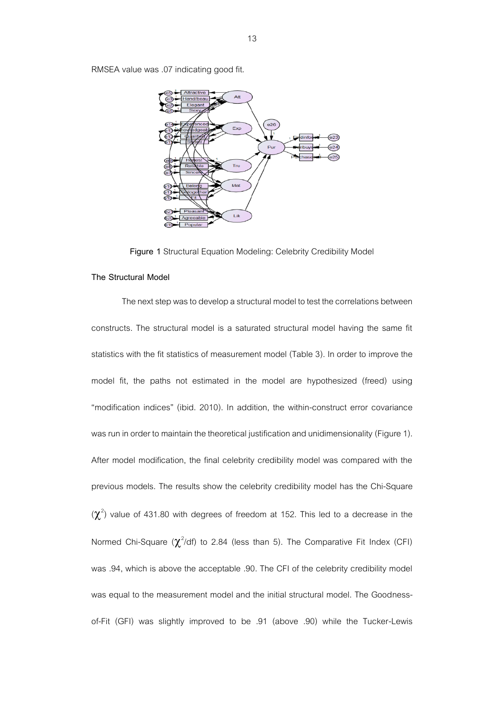RMSEA value was .07 indicating good fit.



**Figure 1** Structural Equation Modeling: Celebrity Credibility Model

## **The Structural Model**

The next step was to develop a structural model to test the correlations between constructs. The structural model is a saturated structural model having the same fit statistics with the fit statistics of measurement model (Table 3). In order to improve the model fit, the paths not estimated in the model are hypothesized (freed) using "modification indices" (ibid. 2010). In addition, the within-construct error covariance was run in order to maintain the theoretical justification and unidimensionality (Figure 1). After model modification, the final celebrity credibility model was compared with the previous models. The results show the celebrity credibility model has the Chi-Square  $(\chi^2)$  value of 431.80 with degrees of freedom at 152. This led to a decrease in the Normed Chi-Square ( $\chi^2$ /df) to 2.84 (less than 5). The Comparative Fit Index (CFI) was .94, which is above the acceptable .90. The CFI of the celebrity credibility model was equal to the measurement model and the initial structural model. The Goodnessof-Fit (GFI) was slightly improved to be .91 (above .90) while the Tucker-Lewis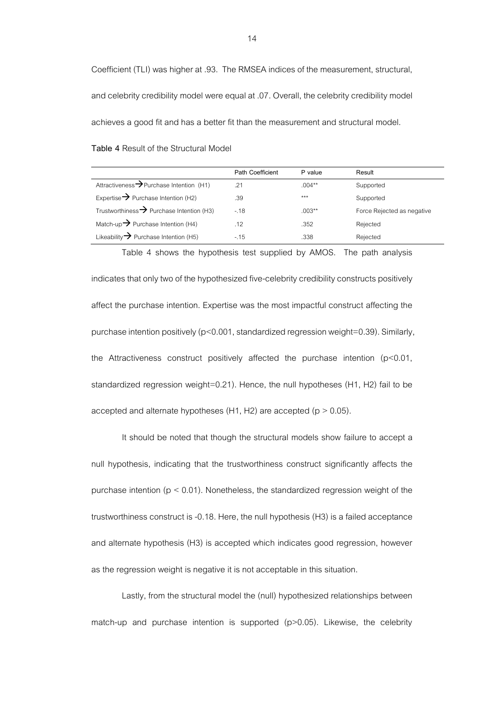Coefficient (TLI) was higher at .93. The RMSEA indices of the measurement, structural, and celebrity credibility model were equal at .07. Overall, the celebrity credibility model achieves a good fit and has a better fit than the measurement and structural model.

**Table 4** Result of the Structural Model

|                                                       | <b>Path Coefficient</b> | P value   | Result                     |
|-------------------------------------------------------|-------------------------|-----------|----------------------------|
| Attractiveness $\rightarrow$ Purchase Intention (H1)  | .21                     | $.004***$ | Supported                  |
| Expertise $\rightarrow$ Purchase Intention (H2)       | .39                     | ***       | Supported                  |
| Trustworthiness $\rightarrow$ Purchase Intention (H3) | $-.18$                  | $.003**$  | Force Rejected as negative |
| Match-up $\rightarrow$ Purchase Intention (H4)        | .12                     | .352      | Rejected                   |
| Likeability $\rightarrow$ Purchase Intention (H5)     | $-.15$                  | .338      | Rejected                   |

Table 4 shows the hypothesis test supplied by AMOS. The path analysis

indicates that only two of the hypothesized five-celebrity credibility constructs positively affect the purchase intention. Expertise was the most impactful construct affecting the purchase intention positively (p<0.001, standardized regression weight=0.39). Similarly, the Attractiveness construct positively affected the purchase intention  $(p<0.01,$ standardized regression weight=0.21). Hence, the null hypotheses (H1, H2) fail to be accepted and alternate hypotheses (H1, H2) are accepted ( $p > 0.05$ ).

It should be noted that though the structural models show failure to accept a null hypothesis, indicating that the trustworthiness construct significantly affects the purchase intention ( $p < 0.01$ ). Nonetheless, the standardized regression weight of the trustworthiness construct is -0.18. Here, the null hypothesis (H3) is a failed acceptance and alternate hypothesis (H3) is accepted which indicates good regression, however as the regression weight is negative it is not acceptable in this situation.

Lastly, from the structural model the (null) hypothesized relationships between match-up and purchase intention is supported  $(p>0.05)$ . Likewise, the celebrity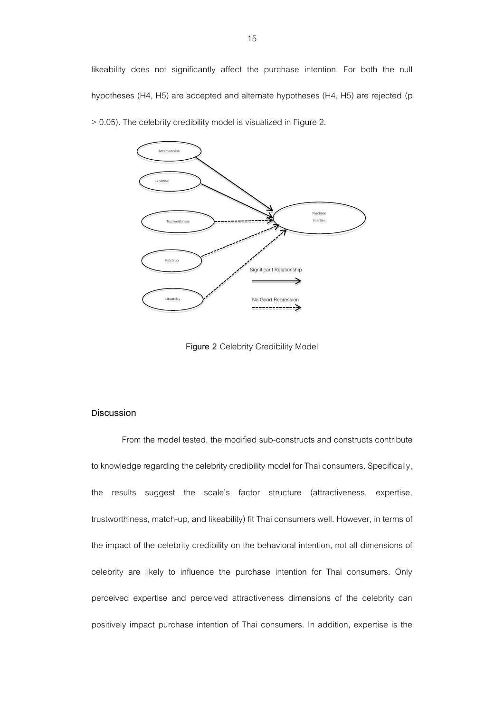likeability does not significantly affect the purchase intention. For both the null hypotheses (H4, H5) are accepted and alternate hypotheses (H4, H5) are rejected (p



> 0.05). The celebrity credibility model is visualized in Figure 2.

**Figure 2** Celebrity Credibility Model

## **Discussion**

From the model tested, the modified sub-constructs and constructs contribute to knowledge regarding the celebrity credibility model for Thai consumers. Specifically, the results suggest the scale's factor structure (attractiveness, expertise, trustworthiness, match-up, and likeability) fit Thai consumers well. However, in terms of the impact of the celebrity credibility on the behavioral intention, not all dimensions of celebrity are likely to influence the purchase intention for Thai consumers. Only perceived expertise and perceived attractiveness dimensions of the celebrity can positively impact purchase intention of Thai consumers. In addition, expertise is the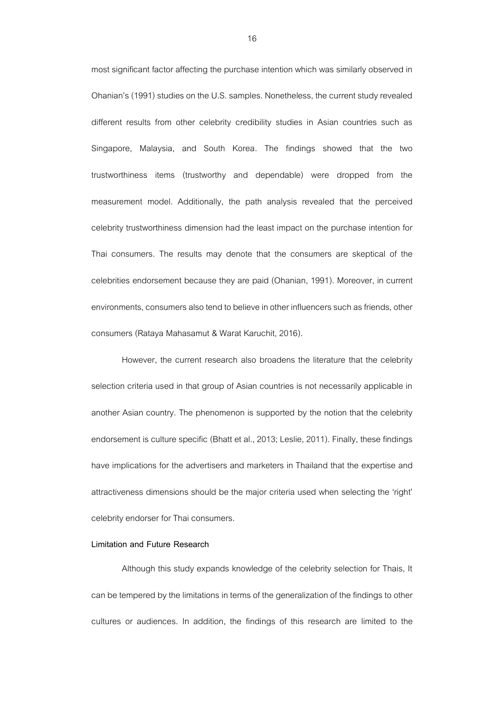most significant factor affecting the purchase intention which was similarly observed in Ohanian's (1991) studies on the U.S. samples. Nonetheless, the current study revealed different results from other celebrity credibility studies in Asian countries such as Singapore, Malaysia, and South Korea. The findings showed that the two trustworthiness items (trustworthy and dependable) were dropped from the measurement model. Additionally, the path analysis revealed that the perceived celebrity trustworthiness dimension had the least impact on the purchase intention for Thai consumers. The results may denote that the consumers are skeptical of the celebrities endorsement because they are paid (Ohanian, 1991). Moreover, in current environments, consumers also tend to believe in other influencers such as friends, other consumers (Rataya Mahasamut & Warat Karuchit,2016).

However, the current research also broadens the literature that the celebrity selection criteria used in that group of Asian countries is not necessarily applicable in another Asian country. The phenomenon is supported by the notion that the celebrity endorsement is culture specific (Bhatt et al., 2013; Leslie, 2011). Finally, these findings have implications for the advertisers and marketers in Thailand that the expertise and attractiveness dimensions should be the major criteria used when selecting the 'right' celebrity endorser for Thai consumers.

#### **Limitation and Future Research**

Although this study expands knowledge of the celebrity selection for Thais, It can be tempered by the limitations in terms of the generalization of the findings to other cultures or audiences. In addition, the findings of this research are limited to the

16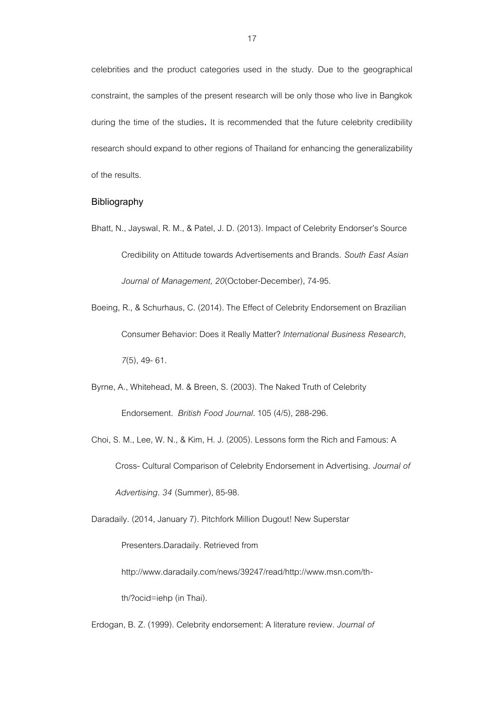celebrities and the product categories used in the study. Due to the geographical constraint, the samples of the present research will be only those who live in Bangkok during the time of the studies. It is recommended that the future celebrity credibility research should expand to other regions of Thailand for enhancing the generalizability of the results.

## **Bibliography**

- Bhatt, N., Jayswal, R. M., & Patel, J. D. (2013). Impact of Celebrity Endorser's Source Credibility on Attitude towards Advertisements and Brands. *South East Asian Journal of Management, 20*(October-December), 74-95.
- Boeing, R., & Schurhaus, C. (2014). The Effect of Celebrity Endorsement on Brazilian Consumer Behavior: Does it Really Matter? *International Business Research, 7*(5), 49-61.
- Byrne, A., Whitehead, M. & Breen, S. (2003). The Naked Truth of Celebrity Endorsement. *British Food Journal*. 105 (4/5), 288-296.
- Choi, S. M., Lee, W. N., & Kim, H. J. (2005). Lessons form the Rich and Famous: A Cross- Cultural Comparison of Celebrity Endorsement in Advertising. *Journal of Advertising. 34* (Summer),85-98.

Daradaily. (2014, January 7). Pitchfork Million Dugout! New Superstar

Presenters.Daradaily. Retrieved from

[http://www.daradaily.com/news/39247/read/http://www.msn.com/th-](http://www.daradaily.com/news/39247/read/http:/www.msn.com/th-th/?ocid=iehp)

[th/?ocid=iehp](http://www.daradaily.com/news/39247/read/http:/www.msn.com/th-th/?ocid=iehp) (in Thai).

Erdogan, B. Z. (1999). Celebrity endorsement: A literature review. *Journal of*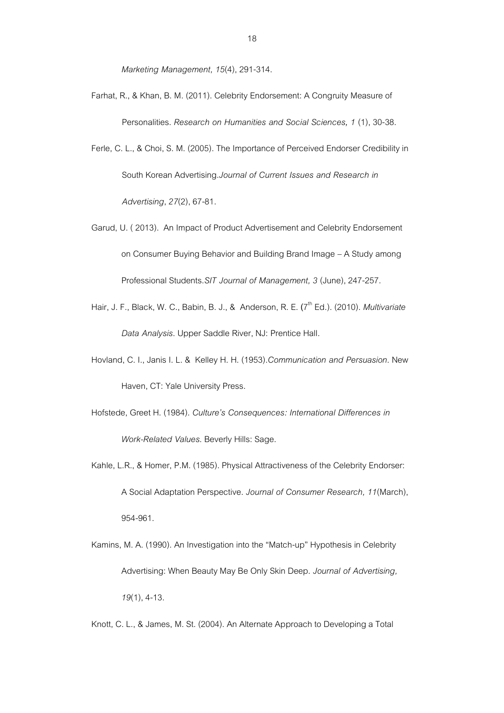*Marketing Management, 15*(4), 291-314.

- Farhat, R., & Khan, B. M. (2011). Celebrity Endorsement: A Congruity Measure of Personalities. *Research on Humanities and Social Sciences, 1* (1), 30-38.
- Ferle, C. L., & Choi, S. M. (2005). The Importance of Perceived Endorser Credibility in South Korean Advertising.*Journal of Current Issues and Research in Advertising*, *27*(2), 67-81.
- Garud, U. ( 2013). An Impact of Product Advertisement and Celebrity Endorsement on Consumer Buying Behavior and Building Brand Image – A Study among Professional Students.*SIT Journal of Management, 3* (June), 247-257.
- Hair, J. F., Black, W. C., Babin, B. J., & Anderson, R. E. (7<sup>th</sup> Ed.). (2010). *Multivariate Data Analysis*. Upper Saddle River, NJ: Prentice Hall.
- Hovland, C. I., Janis I. L. & Kelley H. H. (1953).*Communication and Persuasion*. New Haven, CT: Yale University Press.
- Hofstede, Greet H. (1984). *Culture's Consequences: International Differences in Work-Related Values*. Beverly Hills: Sage.
- Kahle, L.R., & Homer, P.M. (1985). Physical Attractiveness of the Celebrity Endorser: A Social Adaptation Perspective. *Journal of Consumer Research, 11*(March), 954-961.
- Kamins, M. A. (1990). An Investigation into the "Match-up" Hypothesis in Celebrity Advertising: When Beauty May Be Only Skin Deep. *Journal of Advertising, 19*(1), 4-13.
- Knott, C. L., & James, M. St. (2004). An Alternate Approach to Developing a Total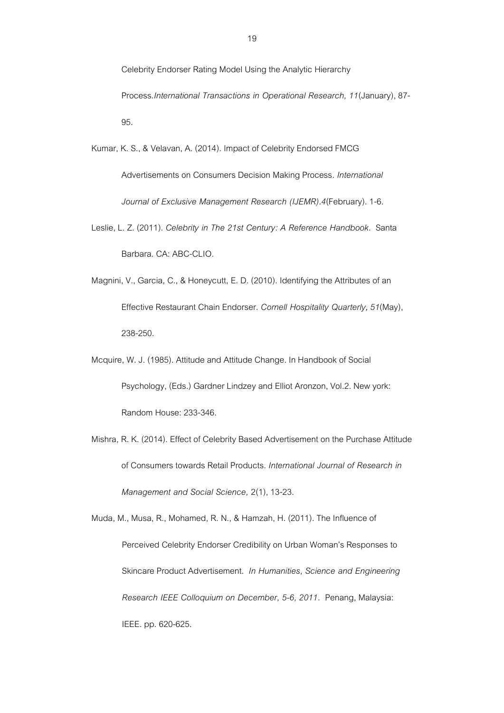Celebrity Endorser Rating Model Using the Analytic Hierarchy Process.*International Transactions in Operational Research, 11*(January), 87- 95.

Kumar, K. S., & Velavan, A. (2014). Impact of Celebrity Endorsed FMCG Advertisements on Consumers Decision Making Process. *International Journal of Exclusive Management Research (IJEMR).4*(February). 1-6.

Leslie, L. Z. (2011). *Celebrity in The 21st Century: A Reference Handbook*. Santa Barbara. CA: ABC-CLIO.

Magnini, V., Garcia, C., & Honeycutt, E. D. (2010). Identifying the Attributes of an Effective Restaurant Chain Endorser. *Cornell Hospitality Quarterly,51*(May), 238-250.

Mcquire, W. J. (1985). Attitude and Attitude Change. In Handbook of Social Psychology, (Eds.) Gardner Lindzey and Elliot Aronzon, Vol.2. New york: Random House: 233-346.

Mishra, R. K. (2014). Effect of Celebrity Based Advertisement on the Purchase Attitude of Consumers towards Retail Products. *International Journal of Research in Management and Social Science,* 2(1), 13-23.

Muda, M., Musa, R., Mohamed, R. N., & Hamzah, H. (2011). The Influence of Perceived Celebrity Endorser Credibility on Urban Woman's Responses to Skincare Product Advertisement. *In Humanities, Science and Engineering Research IEEE Colloquium on December, 5-6, 2011.* Penang, Malaysia: IEEE. pp. 620-625.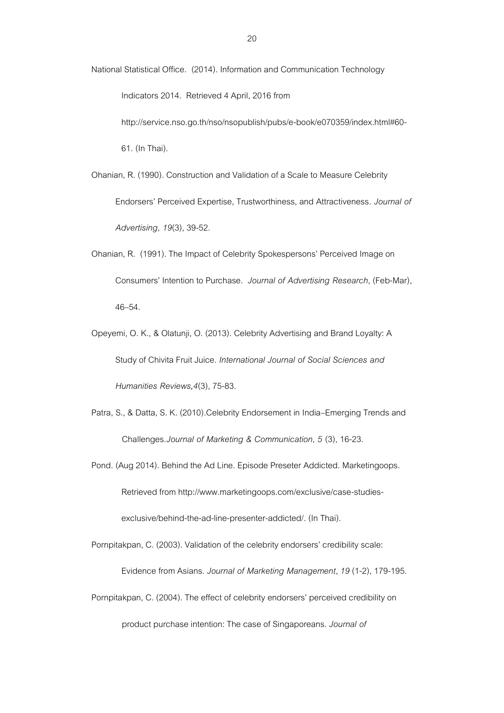National Statistical Office. (2014). Information and Communication Technology

Indicators 2014. Retrieved 4 April, 2016 from

[http://service.nso.go.th/nso/nsopublish/pubs/e-book/e070359/index.html#60-](http://service.nso.go.th/nso/nsopublish/pubs/e-book/e070359/index.html#60-61) [61.](http://service.nso.go.th/nso/nsopublish/pubs/e-book/e070359/index.html#60-61) (In Thai).

Ohanian, R. (1990). Construction and Validation of a Scale to Measure Celebrity Endorsers' Perceived Expertise, Trustworthiness, and Attractiveness*. Journal of Advertising, 19*(3), 39-52.

- Ohanian, R. (1991). The Impact of Celebrity Spokespersons' Perceived Image on Consumers' Intention to Purchase. *Journal of Advertising Research,* (Feb-Mar), 46–54.
- Opeyemi, O. K., & Olatunji, O. (2013). Celebrity Advertising and Brand Loyalty: A Study of Chivita Fruit Juice. *International Journal of Social Sciences and Humanities Reviews,4*(3), 75-83.
- Patra, S., & Datta, S. K. (2010).Celebrity Endorsement in India–Emerging Trends and Challenges.*Journal of Marketing & Communication, 5* (3), 16-23.

Pond. (Aug 2014). Behind the Ad Line. Episode Preseter Addicted. Marketingoops. Retrieved from http://www.marketingoops.com/exclusive/case-studiesexclusive/behind-the-ad-line-presenter-addicted/. (In Thai).

Pornpitakpan, C. (2003). Validation of the celebrity endorsers' credibility scale: Evidence from Asians. *Journal of Marketing Management*, *19*(1-2), 179-195.

Pornpitakpan, C. (2004). The effect of celebrity endorsers' perceived credibility on

product purchase intention: The case of Singaporeans. *Journal of*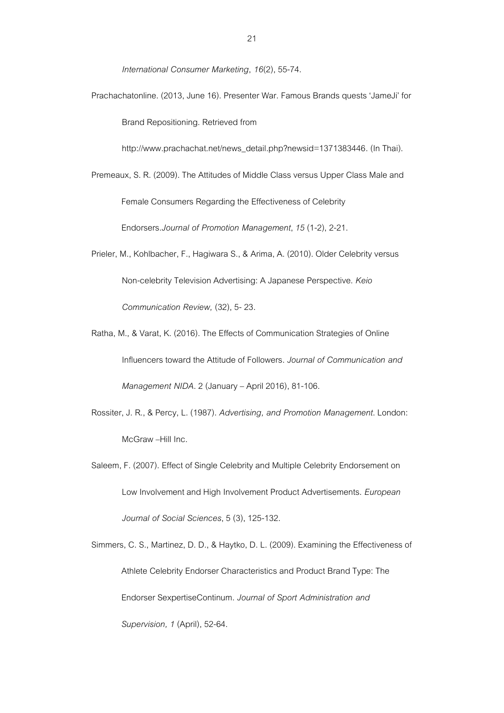*International Consumer Marketing*, *16*(2), 55-74.

Prachachatonline. (2013, June 16). Presenter War. Famous Brands quests 'JameJi' for Brand Repositioning. Retrieved from

[http://www.prachachat.net/news\\_detail.php?newsid=1371383446.](http://www.prachachat.net/news_detail.php?newsid=1371383446) (In Thai).

- Premeaux, S. R. (2009). The Attitudes of Middle Class versus Upper Class Male and Female Consumers Regarding the Effectiveness of Celebrity Endorsers.*Journal of Promotion Management*, *15* (1-2), 2-21.
- Prieler, M., Kohlbacher, F., Hagiwara S., & Arima, A. (2010). Older Celebrity versus Non-celebrity Television Advertising: A Japanese Perspective. *Keio Communication Review,* (32), 5-23.
- Ratha, M., & Varat, K. (2016). The Effects of Communication Strategies of Online Influencers toward the Attitude of Followers. *Journal of Communication and Management NIDA*.2 (January – April 2016), 81-106.
- Rossiter, J. R., & Percy, L. (1987). *Advertising, and Promotion Management*. London: McGraw –Hill Inc.
- Saleem, F. (2007). Effect of Single Celebrity and Multiple Celebrity Endorsement on Low Involvement and High Involvement Product Advertisements. *European Journal of Social Sciences*, 5 (3), 125-132.

Simmers, C. S., Martinez, D. D., & Haytko, D. L. (2009). Examining the Effectiveness of Athlete Celebrity Endorser Characteristics and Product Brand Type: The Endorser SexpertiseContinum. *Journal of Sport Administration and Supervision, 1*(April), 52-64.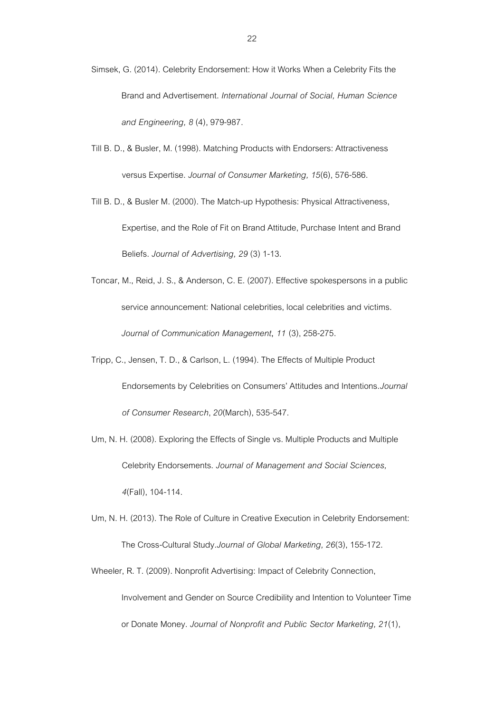Simsek, G. (2014). Celebrity Endorsement: How it Works When a Celebrity Fits the Brand and Advertisement. *International Journal of Social, Human Science and Engineering, 8* (4), 979-987.

Till B. D., & Busler, M. (1998). Matching Products with Endorsers: Attractiveness versus Expertise. *Journal of Consumer Marketing, 15*(6), 576-586.

Till B. D., & Busler M. (2000). The Match-up Hypothesis: Physical Attractiveness, Expertise, and the Role of Fit on Brand Attitude, Purchase Intent and Brand Beliefs. *Journal of Advertising, 29* (3) 1-13.

- Toncar, M., Reid, J. S., & Anderson, C. E. (2007). Effective spokespersons in a public service announcement: National celebrities, local celebrities and victims. *Journal of Communication Management***,** *11* (3), 258-275.
- Tripp, C., Jensen, T. D., & Carlson, L. (1994). The Effects of Multiple Product Endorsements by Celebrities on Consumers' Attitudes and Intentions.*Journal of Consumer Research*, *20*(March), 535-547.
- Um, N. H. (2008). Exploring the Effects of Single vs. Multiple Products and Multiple Celebrity Endorsements. *Journal of Management and Social Sciences, 4*(Fall), 104-114.
- Um, N. H. (2013). The Role of Culture in Creative Execution in Celebrity Endorsement: The Cross-Cultural Study.*Journal of Global Marketing, 26*(3), 155-172.
- Wheeler, R. T. (2009). Nonprofit Advertising: Impact of Celebrity Connection,

Involvement and Gender on Source Credibility and Intention to Volunteer Time

or Donate Money. *Journal of Nonprofit and Public Sector Marketing, 21*(1),